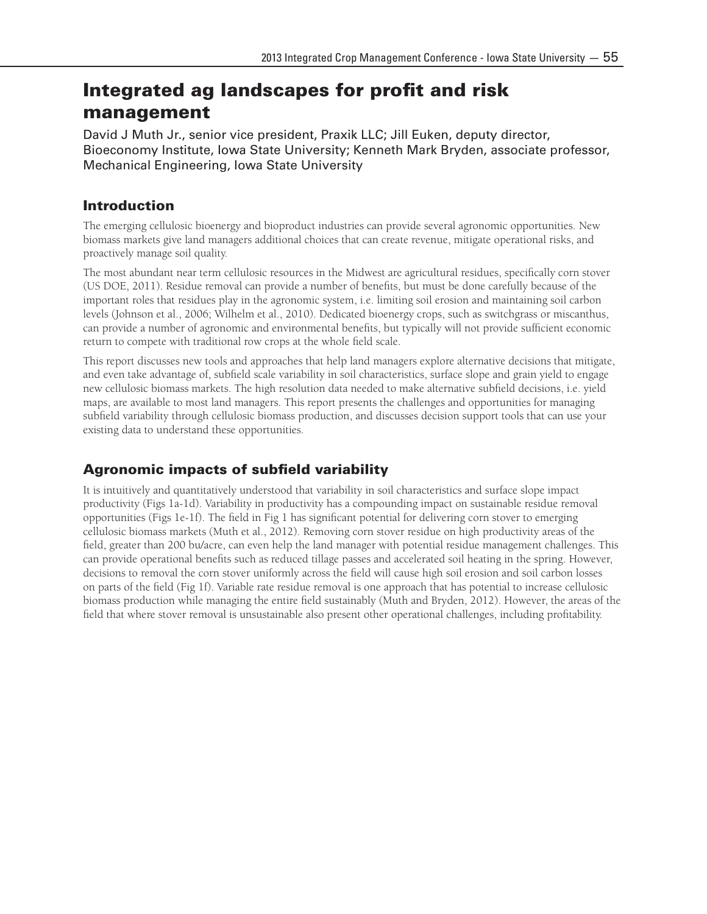# Integrated ag landscapes for profit and risk management

David J Muth Jr., senior vice president, Praxik LLC; Jill Euken, deputy director, Bioeconomy Institute, Iowa State University; Kenneth Mark Bryden, associate professor, Mechanical Engineering, Iowa State University

### Introduction

The emerging cellulosic bioenergy and bioproduct industries can provide several agronomic opportunities. New biomass markets give land managers additional choices that can create revenue, mitigate operational risks, and proactively manage soil quality.

The most abundant near term cellulosic resources in the Midwest are agricultural residues, specifically corn stover (US DOE, 2011). Residue removal can provide a number of benefits, but must be done carefully because of the important roles that residues play in the agronomic system, i.e. limiting soil erosion and maintaining soil carbon levels (Johnson et al., 2006; Wilhelm et al., 2010). Dedicated bioenergy crops, such as switchgrass or miscanthus, can provide a number of agronomic and environmental benefits, but typically will not provide sufficient economic return to compete with traditional row crops at the whole field scale.

This report discusses new tools and approaches that help land managers explore alternative decisions that mitigate, and even take advantage of, subfield scale variability in soil characteristics, surface slope and grain yield to engage new cellulosic biomass markets. The high resolution data needed to make alternative subfield decisions, i.e. yield maps, are available to most land managers. This report presents the challenges and opportunities for managing subfield variability through cellulosic biomass production, and discusses decision support tools that can use your existing data to understand these opportunities.

## Agronomic impacts of subfield variability

It is intuitively and quantitatively understood that variability in soil characteristics and surface slope impact productivity (Figs 1a-1d). Variability in productivity has a compounding impact on sustainable residue removal opportunities (Figs 1e-1f). The field in Fig 1 has significant potential for delivering corn stover to emerging cellulosic biomass markets (Muth et al., 2012). Removing corn stover residue on high productivity areas of the field, greater than 200 bu/acre, can even help the land manager with potential residue management challenges. This can provide operational benefits such as reduced tillage passes and accelerated soil heating in the spring. However, decisions to removal the corn stover uniformly across the field will cause high soil erosion and soil carbon losses on parts of the field (Fig 1f). Variable rate residue removal is one approach that has potential to increase cellulosic biomass production while managing the entire field sustainably (Muth and Bryden, 2012). However, the areas of the field that where stover removal is unsustainable also present other operational challenges, including profitability.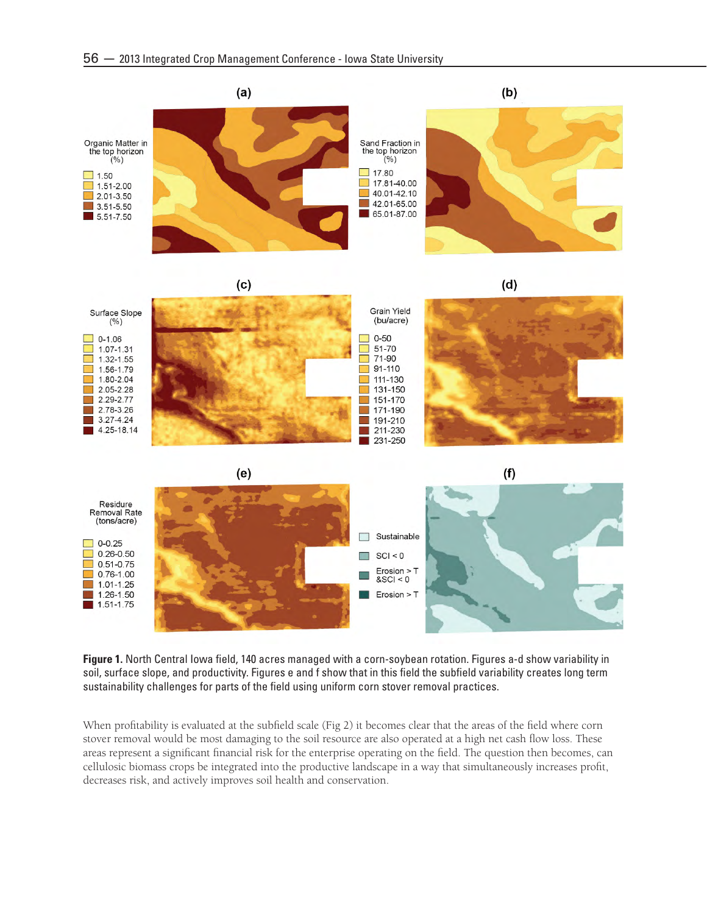

**Figure 1.** North Central Iowa field, 140 acres managed with a corn-soybean rotation. Figures a-d show variability in soil, surface slope, and productivity. Figures e and f show that in this field the subfield variability creates long term sustainability challenges for parts of the field using uniform corn stover removal practices.

When profitability is evaluated at the subfield scale (Fig 2) it becomes clear that the areas of the field where corn stover removal would be most damaging to the soil resource are also operated at a high net cash flow loss. These areas represent a significant financial risk for the enterprise operating on the field. The question then becomes, can cellulosic biomass crops be integrated into the productive landscape in a way that simultaneously increases profit, decreases risk, and actively improves soil health and conservation.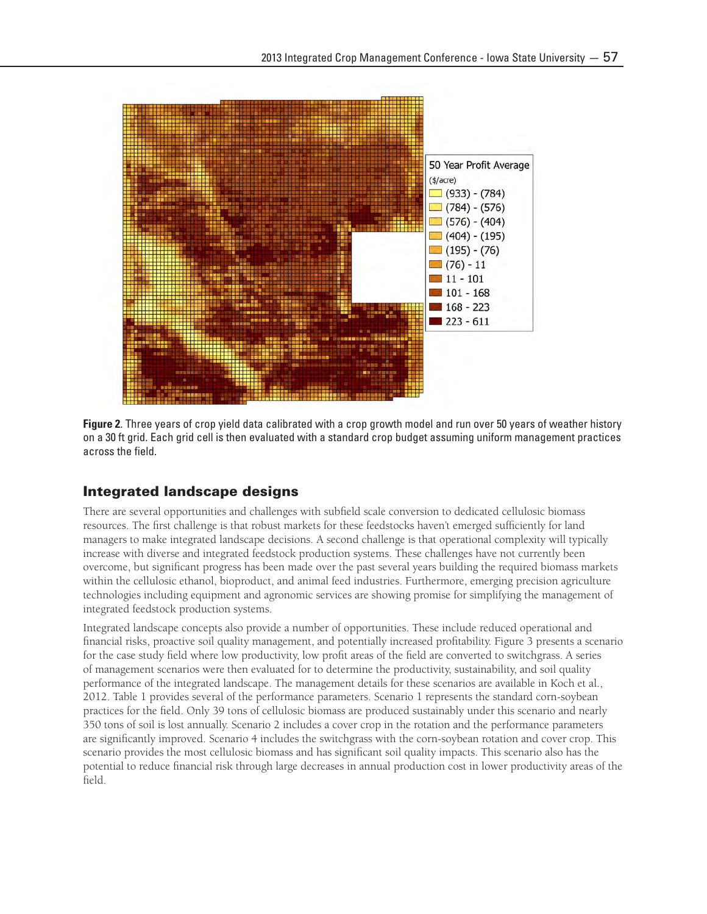

**Figure 2**. Three years of crop yield data calibrated with a crop growth model and run over 50 years of weather history on a 30 ft grid. Each grid cell is then evaluated with a standard crop budget assuming uniform management practices across the field.

## Integrated landscape designs

There are several opportunities and challenges with subfield scale conversion to dedicated cellulosic biomass resources. The first challenge is that robust markets for these feedstocks haven't emerged sufficiently for land managers to make integrated landscape decisions. A second challenge is that operational complexity will typically increase with diverse and integrated feedstock production systems. These challenges have not currently been overcome, but significant progress has been made over the past several years building the required biomass markets within the cellulosic ethanol, bioproduct, and animal feed industries. Furthermore, emerging precision agriculture technologies including equipment and agronomic services are showing promise for simplifying the management of integrated feedstock production systems.

Integrated landscape concepts also provide a number of opportunities. These include reduced operational and financial risks, proactive soil quality management, and potentially increased profitability. Figure 3 presents a scenario for the case study field where low productivity, low profit areas of the field are converted to switchgrass. A series of management scenarios were then evaluated for to determine the productivity, sustainability, and soil quality performance of the integrated landscape. The management details for these scenarios are available in Koch et al., 2012. Table 1 provides several of the performance parameters. Scenario 1 represents the standard corn-soybean practices for the field. Only 39 tons of cellulosic biomass are produced sustainably under this scenario and nearly 350 tons of soil is lost annually. Scenario 2 includes a cover crop in the rotation and the performance parameters are significantly improved. Scenario 4 includes the switchgrass with the corn-soybean rotation and cover crop. This scenario provides the most cellulosic biomass and has significant soil quality impacts. This scenario also has the potential to reduce financial risk through large decreases in annual production cost in lower productivity areas of the field.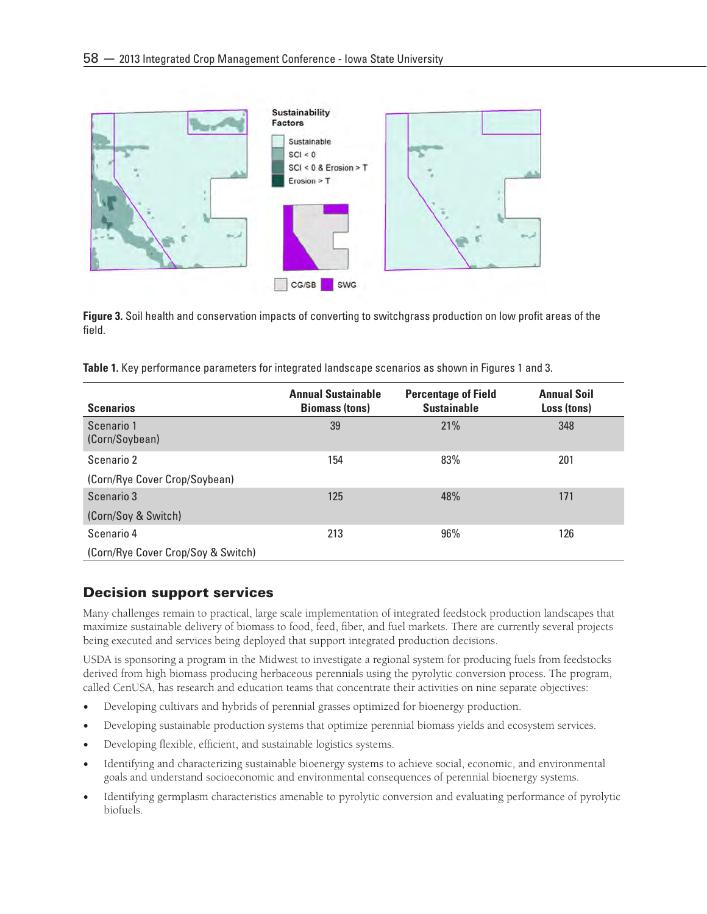

**Figure 3.** Soil health and conservation impacts of converting to switchgrass production on low profit areas of the field.

**Table 1.** Key performance parameters for integrated landscape scenarios as shown in Figures 1 and 3.

| <b>Scenarios</b>                   | <b>Annual Sustainable</b><br><b>Biomass (tons)</b> | <b>Percentage of Field</b><br><b>Sustainable</b> | <b>Annual Soil</b><br>Loss (tons) |
|------------------------------------|----------------------------------------------------|--------------------------------------------------|-----------------------------------|
| Scenario 1<br>(Corn/Soybean)       | 39                                                 | 21%                                              | 348                               |
| Scenario 2                         | 154                                                | 83%                                              | 201                               |
| (Corn/Rye Cover Crop/Soybean)      |                                                    |                                                  |                                   |
| Scenario 3                         | 125                                                | 48%                                              | 171                               |
| (Corn/Soy & Switch)                |                                                    |                                                  |                                   |
| Scenario 4                         | 213                                                | 96%                                              | 126                               |
| (Corn/Rye Cover Crop/Soy & Switch) |                                                    |                                                  |                                   |

### Decision support services

Many challenges remain to practical, large scale implementation of integrated feedstock production landscapes that maximize sustainable delivery of biomass to food, feed, fiber, and fuel markets. There are currently several projects being executed and services being deployed that support integrated production decisions.

USDA is sponsoring a program in the Midwest to investigate a regional system for producing fuels from feedstocks derived from high biomass producing herbaceous perennials using the pyrolytic conversion process. The program, called CenUSA, has research and education teams that concentrate their activities on nine separate objectives:

- Developing cultivars and hybrids of perennial grasses optimized for bioenergy production.
- Developing sustainable production systems that optimize perennial biomass yields and ecosystem services.
- Developing flexible, efficient, and sustainable logistics systems.
- Identifying and characterizing sustainable bioenergy systems to achieve social, economic, and environmental goals and understand socioeconomic and environmental consequences of perennial bioenergy systems.
- Identifying germplasm characteristics amenable to pyrolytic conversion and evaluating performance of pyrolytic biofuels.